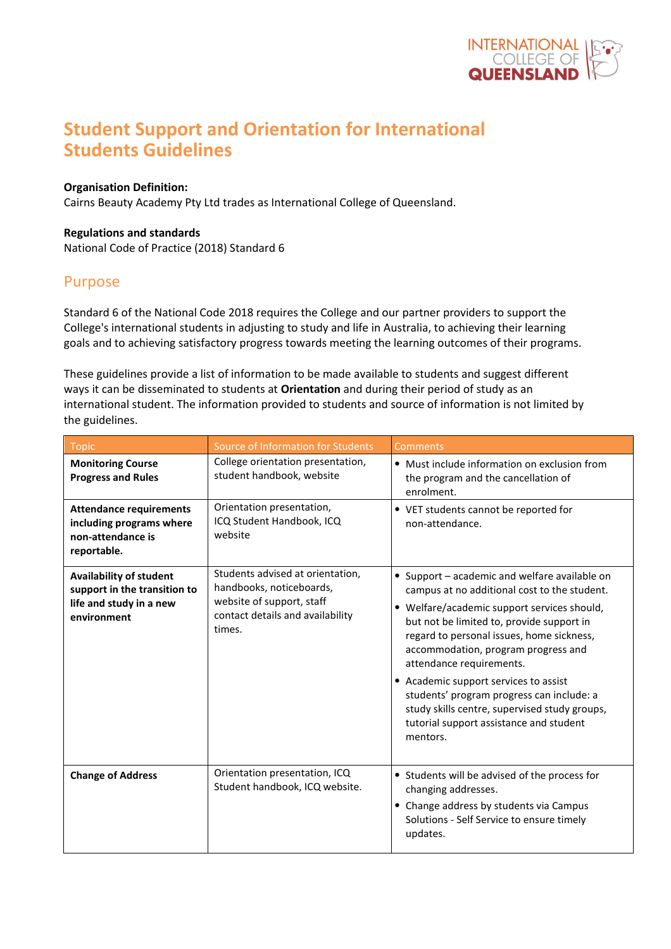

# **Student Support and Orientation for International Students Guidelines**

#### **Organisation Definition:**

Cairns Beauty Academy Pty Ltd trades as International College of Queensland.

#### **Regulations and standards**

National Code of Practice (2018) Standard 6

### Purpose

Standard 6 of the National Code 2018 requires the College and our partner providers to support the College's international students in adjusting to study and life in Australia, to achieving their learning goals and to achieving satisfactory progress towards meeting the learning outcomes of their programs.

These guidelines provide a list of information to be made available to students and suggest different ways it can be disseminated to students at **Orientation** and during their period of study as an international student. The information provided to students and source of information is not limited by the guidelines.

| <b>Topic</b>                                                                                             | Source of Information for Students                                                                                                      | Comments                                                                                                                                                                                                                                                                                                                                                                                                                                                                                                |  |  |
|----------------------------------------------------------------------------------------------------------|-----------------------------------------------------------------------------------------------------------------------------------------|---------------------------------------------------------------------------------------------------------------------------------------------------------------------------------------------------------------------------------------------------------------------------------------------------------------------------------------------------------------------------------------------------------------------------------------------------------------------------------------------------------|--|--|
| <b>Monitoring Course</b><br><b>Progress and Rules</b>                                                    | College orientation presentation,<br>student handbook, website                                                                          | • Must include information on exclusion from<br>the program and the cancellation of<br>enrolment.                                                                                                                                                                                                                                                                                                                                                                                                       |  |  |
| <b>Attendance requirements</b><br>including programs where<br>non-attendance is<br>reportable.           | Orientation presentation,<br>ICQ Student Handbook, ICQ<br>website                                                                       | • VET students cannot be reported for<br>non-attendance.                                                                                                                                                                                                                                                                                                                                                                                                                                                |  |  |
| <b>Availability of student</b><br>support in the transition to<br>life and study in a new<br>environment | Students advised at orientation,<br>handbooks, noticeboards,<br>website of support, staff<br>contact details and availability<br>times. | • Support - academic and welfare available on<br>campus at no additional cost to the student.<br>• Welfare/academic support services should,<br>but not be limited to, provide support in<br>regard to personal issues, home sickness,<br>accommodation, program progress and<br>attendance requirements.<br>• Academic support services to assist<br>students' program progress can include: a<br>study skills centre, supervised study groups,<br>tutorial support assistance and student<br>mentors. |  |  |
| <b>Change of Address</b>                                                                                 | Orientation presentation, ICQ<br>Student handbook, ICQ website.                                                                         | • Students will be advised of the process for<br>changing addresses.<br>• Change address by students via Campus<br>Solutions - Self Service to ensure timely<br>updates.                                                                                                                                                                                                                                                                                                                                |  |  |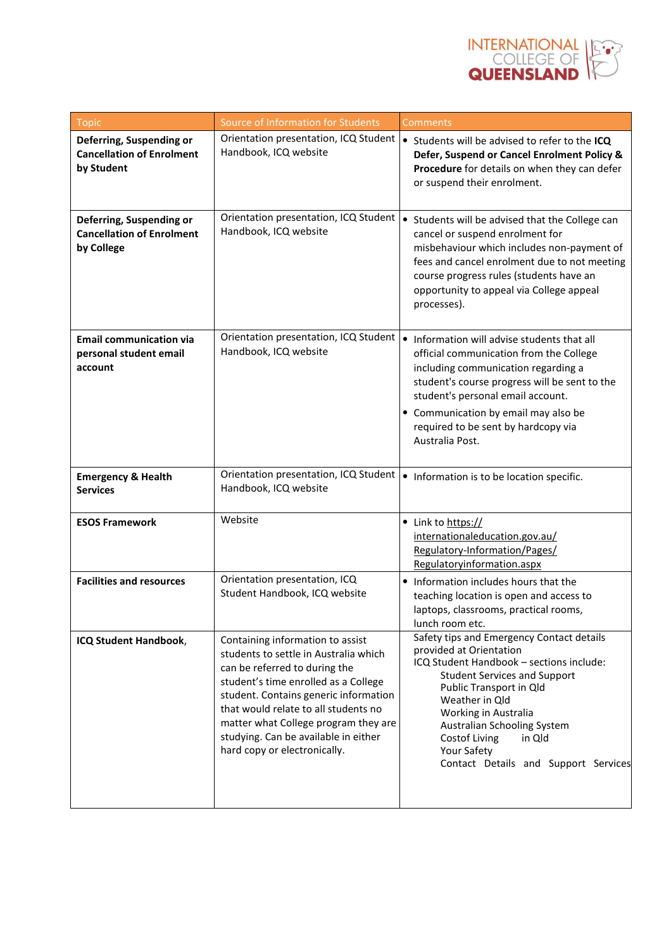

| Topic                                                                      | Source of Information for Students                                                                                                                                                                                                                                                                                                                  | Comments                                                                                                                                                                                                                                                                                                                                      |  |  |
|----------------------------------------------------------------------------|-----------------------------------------------------------------------------------------------------------------------------------------------------------------------------------------------------------------------------------------------------------------------------------------------------------------------------------------------------|-----------------------------------------------------------------------------------------------------------------------------------------------------------------------------------------------------------------------------------------------------------------------------------------------------------------------------------------------|--|--|
| Deferring, Suspending or<br><b>Cancellation of Enrolment</b><br>by Student | Orientation presentation, ICQ Student<br>Handbook, ICQ website                                                                                                                                                                                                                                                                                      | • Students will be advised to refer to the ICQ<br>Defer, Suspend or Cancel Enrolment Policy &<br>Procedure for details on when they can defer<br>or suspend their enrolment.                                                                                                                                                                  |  |  |
| Deferring, Suspending or<br><b>Cancellation of Enrolment</b><br>by College | Orientation presentation, ICQ Student<br>Handbook, ICQ website                                                                                                                                                                                                                                                                                      | Students will be advised that the College can<br>cancel or suspend enrolment for<br>misbehaviour which includes non-payment of<br>fees and cancel enrolment due to not meeting<br>course progress rules (students have an<br>opportunity to appeal via College appeal<br>processes).                                                          |  |  |
| <b>Email communication via</b><br>personal student email<br>account        | Orientation presentation, ICQ Student<br>Handbook, ICQ website                                                                                                                                                                                                                                                                                      | Information will advise students that all<br>official communication from the College<br>including communication regarding a<br>student's course progress will be sent to the<br>student's personal email account.<br>• Communication by email may also be<br>required to be sent by hardcopy via<br>Australia Post.                           |  |  |
| <b>Emergency &amp; Health</b><br><b>Services</b>                           | Orientation presentation, ICQ Student<br>Handbook, ICQ website                                                                                                                                                                                                                                                                                      | • Information is to be location specific.                                                                                                                                                                                                                                                                                                     |  |  |
| <b>ESOS Framework</b>                                                      | Website                                                                                                                                                                                                                                                                                                                                             | • Link to https://<br>internationaleducation.gov.au/<br>Regulatory-Information/Pages/<br>Regulatoryinformation.aspx                                                                                                                                                                                                                           |  |  |
| <b>Facilities and resources</b>                                            | Orientation presentation, ICQ<br>Student Handbook, ICQ website                                                                                                                                                                                                                                                                                      | • Information includes hours that the<br>teaching location is open and access to<br>laptops, classrooms, practical rooms,<br>lunch room etc.                                                                                                                                                                                                  |  |  |
| ICQ Student Handbook,                                                      | Containing information to assist<br>students to settle in Australia which<br>can be referred to during the<br>student's time enrolled as a College<br>student. Contains generic information<br>that would relate to all students no<br>matter what College program they are<br>studying. Can be available in either<br>hard copy or electronically. | Safety tips and Emergency Contact details<br>provided at Orientation<br>ICQ Student Handbook - sections include:<br><b>Student Services and Support</b><br>Public Transport in Qld<br>Weather in Qld<br>Working in Australia<br>Australian Schooling System<br>Costof Living<br>in Qld<br>Your Safety<br>Contact Details and Support Services |  |  |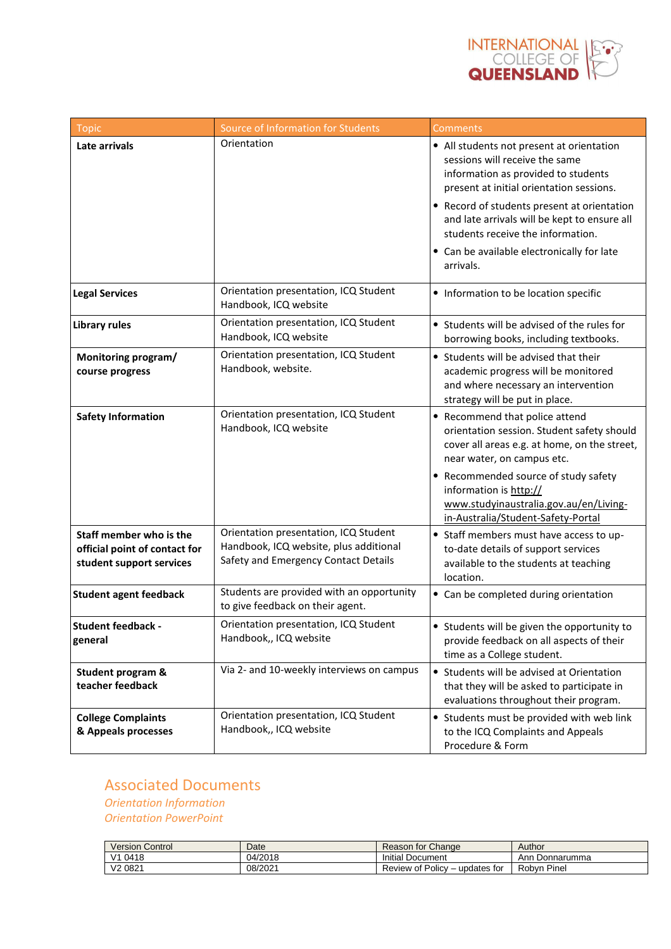

| <b>Topic</b>                                                                         | Source of Information for Students                                                                                      | <b>Comments</b>                                                                                                                                                                                                                                                                                                                                               |  |
|--------------------------------------------------------------------------------------|-------------------------------------------------------------------------------------------------------------------------|---------------------------------------------------------------------------------------------------------------------------------------------------------------------------------------------------------------------------------------------------------------------------------------------------------------------------------------------------------------|--|
| Late arrivals                                                                        | Orientation                                                                                                             | • All students not present at orientation<br>sessions will receive the same<br>information as provided to students<br>present at initial orientation sessions.<br>• Record of students present at orientation<br>and late arrivals will be kept to ensure all<br>students receive the information.<br>• Can be available electronically for late<br>arrivals. |  |
| <b>Legal Services</b>                                                                | Orientation presentation, ICQ Student<br>Handbook, ICQ website                                                          | • Information to be location specific                                                                                                                                                                                                                                                                                                                         |  |
| <b>Library rules</b>                                                                 | Orientation presentation, ICQ Student<br>Handbook, ICQ website                                                          | • Students will be advised of the rules for<br>borrowing books, including textbooks.                                                                                                                                                                                                                                                                          |  |
| Monitoring program/<br>course progress                                               | Orientation presentation, ICQ Student<br>Handbook, website.                                                             | • Students will be advised that their<br>academic progress will be monitored<br>and where necessary an intervention<br>strategy will be put in place.                                                                                                                                                                                                         |  |
| <b>Safety Information</b>                                                            | Orientation presentation, ICQ Student<br>Handbook, ICQ website                                                          | • Recommend that police attend<br>orientation session. Student safety should<br>cover all areas e.g. at home, on the street,<br>near water, on campus etc.<br>• Recommended source of study safety<br>information is http://<br>www.studyinaustralia.gov.au/en/Living-                                                                                        |  |
| Staff member who is the<br>official point of contact for<br>student support services | Orientation presentation, ICQ Student<br>Handbook, ICQ website, plus additional<br>Safety and Emergency Contact Details | in-Australia/Student-Safety-Portal<br>• Staff members must have access to up-<br>to-date details of support services<br>available to the students at teaching<br>location.                                                                                                                                                                                    |  |
| <b>Student agent feedback</b>                                                        | Students are provided with an opportunity<br>to give feedback on their agent.                                           | • Can be completed during orientation                                                                                                                                                                                                                                                                                                                         |  |
| <b>Student feedback -</b><br>general                                                 | Orientation presentation, ICQ Student<br>Handbook,, ICQ website                                                         | • Students will be given the opportunity to<br>provide feedback on all aspects of their<br>time as a College student.                                                                                                                                                                                                                                         |  |
| <b>Student program &amp;</b><br>teacher feedback                                     | Via 2- and 10-weekly interviews on campus                                                                               | • Students will be advised at Orientation<br>that they will be asked to participate in<br>evaluations throughout their program.                                                                                                                                                                                                                               |  |
| <b>College Complaints</b><br>& Appeals processes                                     | Orientation presentation, ICQ Student<br>Handbook,, ICQ website                                                         | • Students must be provided with web link<br>to the ICQ Complaints and Appeals<br>Procedure & Form                                                                                                                                                                                                                                                            |  |

## Associated Documents *Orientation Information*

*Orientation PowerPoint*

|                     | <b>Version Control</b> | Date    | Reason for Change                  | Author         |
|---------------------|------------------------|---------|------------------------------------|----------------|
| V1 0418             |                        | 04/2018 | <b>Initial Document</b>            | Ann Donnarumma |
| V <sub>2</sub> 0821 |                        | 08/2021 | of Policy<br>updates for<br>Review | Pinei<br>Robvn |